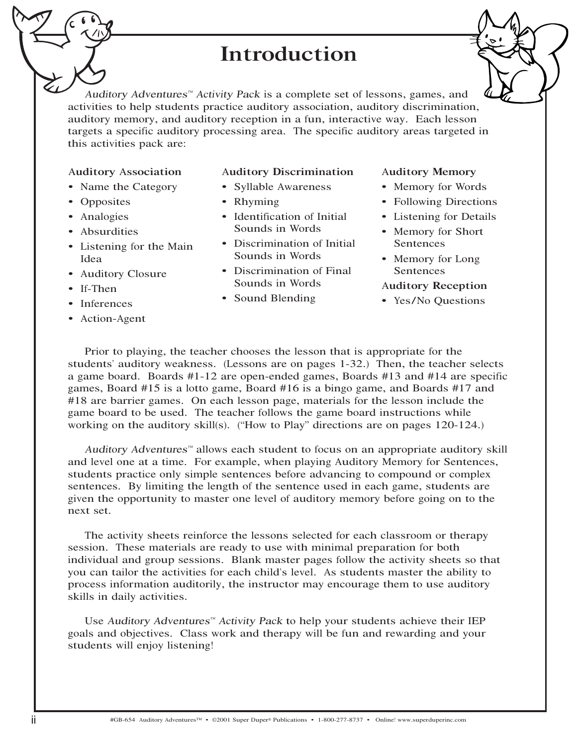## Introduction

<sup>A</sup>udito<sup>r</sup><sup>y</sup> <sup>A</sup>dventures™ <sup>A</sup>ctivity <sup>P</sup>ack is a complete set of lessons, games, and activities to help students practice auditory association, auditory discrimination, auditory memory, and auditory reception in a fun, interactive way. Each lesson targets a specific auditory processing area. The specific auditory areas targeted in this activities pack are:

#### Auditory Association

- Name the Category
- Opposites
- Analogies
- Absurdities
- Listening for the Main Idea
- Auditory Closure
- If-Then
- Inferences
- Action-Agent

#### Auditory Discrimination

- Syllable Awareness
- Rhyming
- Identification of Initial Sounds in Words
- Discrimination of Initial Sounds in Words
- Discrimination of Final Sounds in Words
- Sound Blending

#### Auditory Memory

- Memory for Words
- Following Directions
- Listening for Details
- Memory for Short Sentences
- Memory for Long Sentences

#### Auditory Reception

• Yes/No Questions

Prior to playing, the teacher chooses the lesson that is appropriate for the students' auditory weakness. (Lessons are on pages 1-32.) Then, the teacher selects a game board. Boards #1-12 are open-ended games, Boards #13 and #14 are specific games, Board #15 is a lotto game, Board #16 is a bingo game, and Boards #17 and #18 are barrier games. On each lesson page, materials for the lesson include the game board to be used. The teacher follows the game board instructions while working on the auditory skill(s). ("How to Play" directions are on pages 120-124.)

<sup>A</sup>udito<sup>r</sup><sup>y</sup> <sup>A</sup>dventures™ allows each student to focus on an appropriate auditor<sup>y</sup> skill and level one at a time. For example, when playing Auditory Memory for Sentences, students practice only simple sentences before advancing to compound or complex sentences. By limiting the length of the sentence used in each game, students are given the opportunity to master one level of auditory memory before going on to the next set.

The activity sheets reinforce the lessons selected for each classroom or therapy session. These materials are ready to use with minimal preparation for both individual and group sessions. Blank master pages follow the activity sheets so that you can tailor the activities for each child's level. As students master the ability to process information auditorily, the instructor may encourage them to use auditory skills in daily activities.

Use <sup>A</sup>udito<sup>r</sup><sup>y</sup> <sup>A</sup>dventures™ <sup>A</sup>ctivity <sup>P</sup>ack to help your students achieve their IEP goals and objectives. Class work and therapy will be fun and rewarding and your students will enjoy listening!